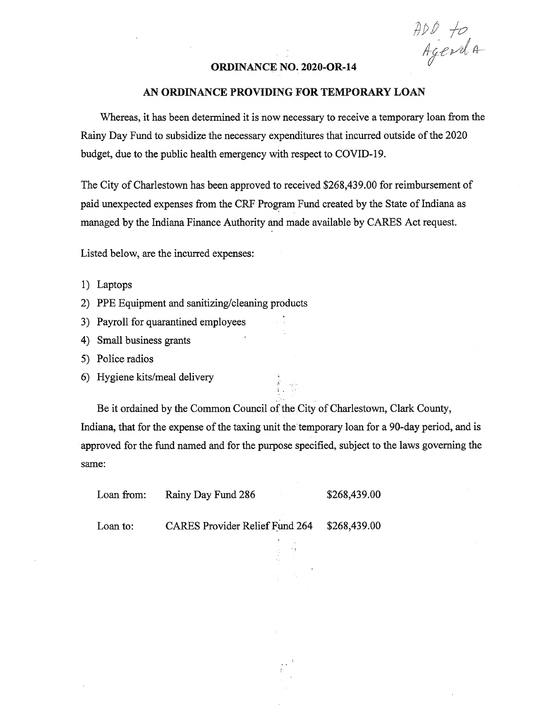I## *f(P^*

## **ORDINANCE NO. 2020-OR-14**

## AN ORDINANCE PROVIDING FOR TEMPORARY LOAN

Whereas, it has been determined it is now necessary to receive a temporary loan from the Rainy Day Fund to subsidize the necessary expenditures that incurred outside ofthe 2020 budget, due to the public health emergency with respect to COVID-19.

The City of Charlestown has been approved to received \$268,439.00 for reimbursement of paid unexpected expenses from the CRF Program Fund created by the State of Indiana as managed by the Indiana Finance Authority and made available by CARES Act request.

Listed below, are the incurred expenses:

- 1) Laptops
- 2) PPE Equipment and sanitizing/cleaning products
- 3) Payroll for quarantined employees
- 4) Small business grants '
- 5) Police radios
- 6) Hygiene kits/meal delivery

Be it ordained by the Common Council of the City of Charlestown, Clark County, Indiana, that for the expense of the taxing unit the temporary loan for a 90-day period, and is approved for the fund named and for the purpose specified, subject to the laws governing the same:

 $\epsilon$  .  $\epsilon$ 

| Loan from: | Rainy Day Fund 286 | \$268,439.00 |
|------------|--------------------|--------------|
|            |                    |              |

Loan to: CARES Provider Relief Fund 264 \$268,439.00